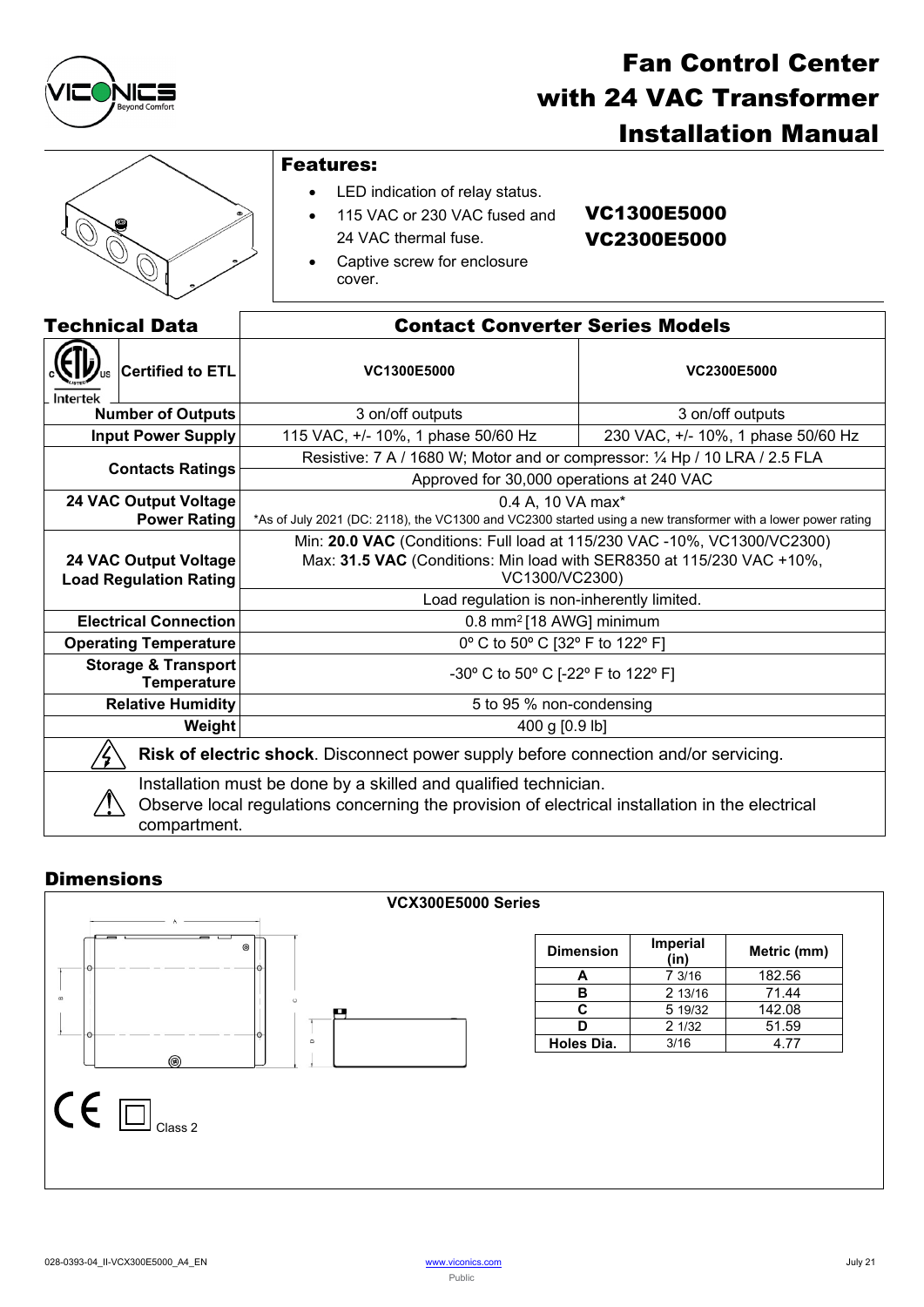

# Fan Control Center with 24 VAC Transformer Installation Manual



# Features:

- LED indication of relay status.
- 115 VAC or 230 VAC fused and 24 VAC thermal fuse.
- VC1300E5000 VC2300E5000
- Captive screw for enclosure cover.

| <b>Technical Data</b>                                                                                                                                                               |  | <b>Contact Converter Series Models</b>                                                                       |                                    |  |
|-------------------------------------------------------------------------------------------------------------------------------------------------------------------------------------|--|--------------------------------------------------------------------------------------------------------------|------------------------------------|--|
| <b>Certified to ETL</b><br>Intertek                                                                                                                                                 |  | <b>VC1300E5000</b>                                                                                           | <b>VC2300E5000</b>                 |  |
| <b>Number of Outputs</b>                                                                                                                                                            |  | 3 on/off outputs                                                                                             | 3 on/off outputs                   |  |
| <b>Input Power Supply</b>                                                                                                                                                           |  | 115 VAC, +/- 10%, 1 phase 50/60 Hz                                                                           | 230 VAC, +/- 10%, 1 phase 50/60 Hz |  |
| <b>Contacts Ratings</b>                                                                                                                                                             |  | Resistive: 7 A / 1680 W; Motor and or compressor: 1/4 Hp / 10 LRA / 2.5 FLA                                  |                                    |  |
|                                                                                                                                                                                     |  | Approved for 30,000 operations at 240 VAC                                                                    |                                    |  |
| <b>24 VAC Output Voltage</b>                                                                                                                                                        |  | 0.4 A, 10 VA max <sup>*</sup>                                                                                |                                    |  |
| <b>Power Rating</b>                                                                                                                                                                 |  | *As of July 2021 (DC: 2118), the VC1300 and VC2300 started using a new transformer with a lower power rating |                                    |  |
|                                                                                                                                                                                     |  | Min: 20.0 VAC (Conditions: Full load at 115/230 VAC -10%, VC1300/VC2300)                                     |                                    |  |
| <b>24 VAC Output Voltage</b>                                                                                                                                                        |  | Max: 31.5 VAC (Conditions: Min load with SER8350 at 115/230 VAC +10%,                                        |                                    |  |
| <b>Load Regulation Rating</b>                                                                                                                                                       |  | VC1300/VC2300)                                                                                               |                                    |  |
|                                                                                                                                                                                     |  | Load regulation is non-inherently limited.                                                                   |                                    |  |
| <b>Electrical Connection</b>                                                                                                                                                        |  | 0.8 mm <sup>2</sup> [18 AWG] minimum                                                                         |                                    |  |
| <b>Operating Temperature</b>                                                                                                                                                        |  | 0° C to 50° C [32° F to 122° F]                                                                              |                                    |  |
| <b>Storage &amp; Transport</b><br><b>Temperature</b>                                                                                                                                |  | -30° C to 50° C [-22° F to 122° F]                                                                           |                                    |  |
| <b>Relative Humidity</b>                                                                                                                                                            |  | 5 to 95 % non-condensing                                                                                     |                                    |  |
| Weight                                                                                                                                                                              |  | 400 g [0.9 lb]                                                                                               |                                    |  |
| Risk of electric shock. Disconnect power supply before connection and/or servicing.                                                                                                 |  |                                                                                                              |                                    |  |
| Installation must be done by a skilled and qualified technician.<br>Observe local regulations concerning the provision of electrical installation in the electrical<br>compartment. |  |                                                                                                              |                                    |  |

## **Dimensions**